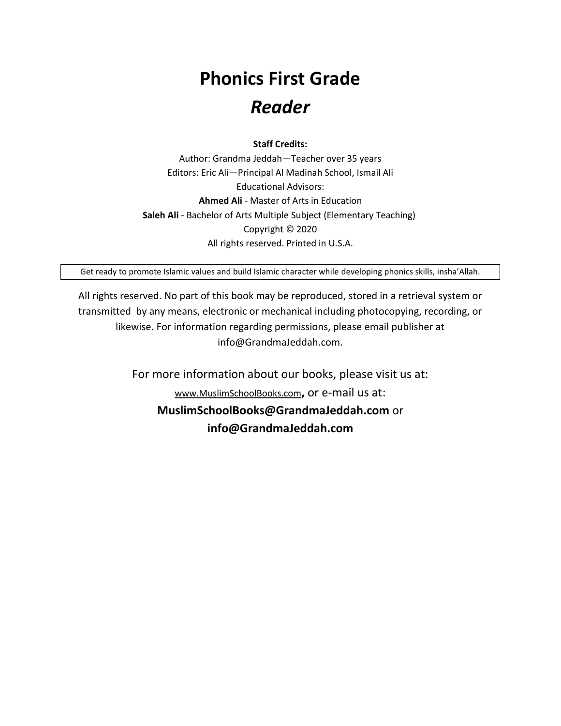## **Phonics First Grade**  *Reader*

**Staff Credits:**

Author: Grandma Jeddah—Teacher over 35 years Editors: Eric Ali—Principal Al Madinah School, Ismail Ali Educational Advisors: **Ahmed Ali** - Master of Arts in Education **Saleh Ali** - Bachelor of Arts Multiple Subject (Elementary Teaching) Copyright © 2020 All rights reserved. Printed in U.S.A.

Get ready to promote Islamic values and build Islamic character while developing phonics skills, insha'Allah.

All rights reserved. No part of this book may be reproduced, stored in a retrieval system or transmitted by any means, electronic or mechanical including photocopying, recording, or likewise. For information regarding permissions, please email publisher at info@GrandmaJeddah.com.

> For more information about our books, please visit us at: [www.MuslimSchoolBooks.com](http://www.muslimschoolbooks.com/)**,** or e-mail us at: **MuslimSchoolBooks@GrandmaJeddah.com** or **info@GrandmaJeddah.com**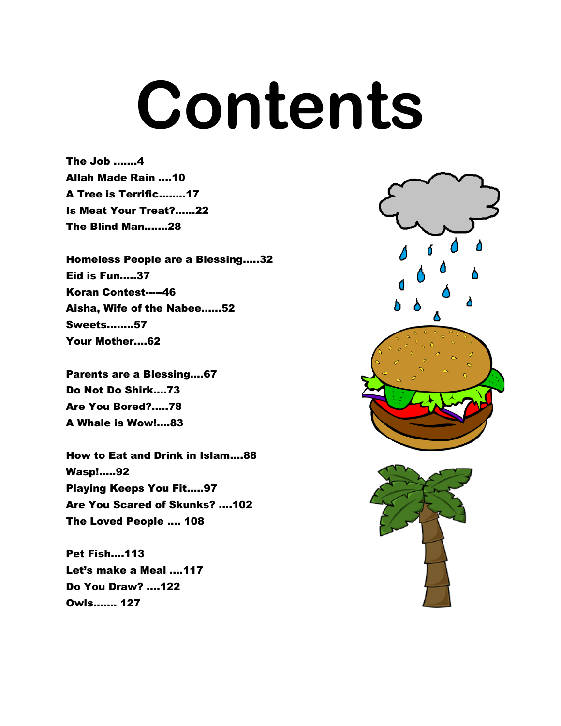## **Contents**

The Job …….4 Allah Made Rain ….10 A Tree is Terrific……..17 Is Meat Your Treat?……22 The Blind Man…….28

Homeless People are a Blessing…..32 Eid is Fun…..37 Koran Contest-----46 Aisha, Wife of the Nabee……52 Sweets……..57 Your Mother….62

Parents are a Blessing….67 Do Not Do Shirk….73 Are You Bored?…..78 A Whale is Wow!….83

How to Eat and Drink in Islam….88 Wasp!…..92 Playing Keeps You Fit…..97 Are You Scared of Skunks? ….102 The Loved People …. 108

Pet Fish….113 Let's make a Meal ….117 Do You Draw? ….122 Owls……. 127



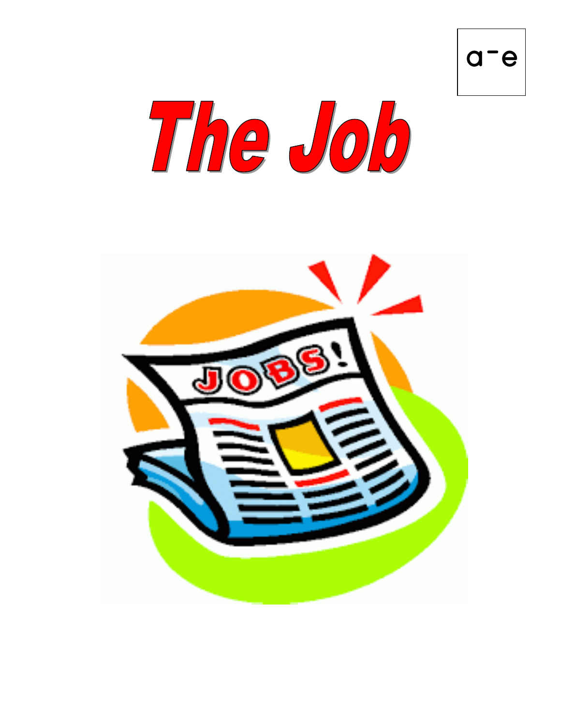



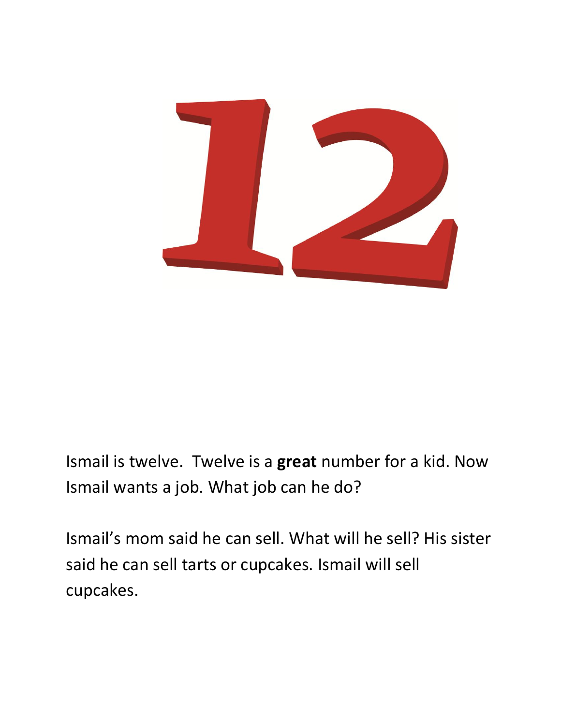

Ismail is twelve. Twelve is a **great** number for a kid. Now Ismail wants a job. What job can he do?

Ismail's mom said he can sell. What will he sell? His sister said he can sell tarts or cupcakes. Ismail will sell cupcakes.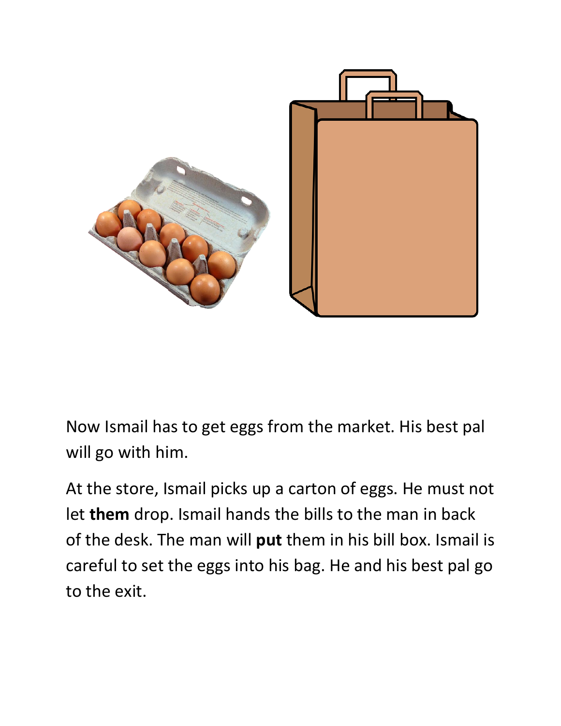

Now Ismail has to get eggs from the market. His best pal will go with him.

At the store, Ismail picks up a carton of eggs. He must not let **them** drop. Ismail hands the bills to the man in back of the desk. The man will **put** them in his bill box. Ismail is careful to set the eggs into his bag. He and his best pal go to the exit.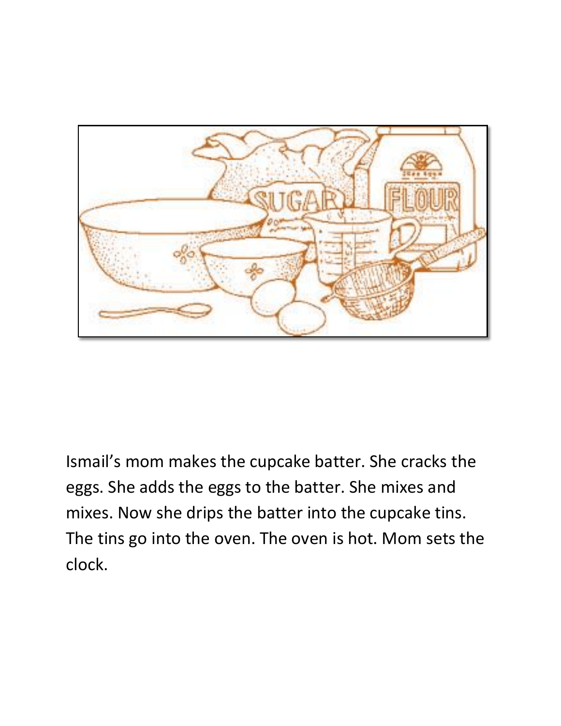

Ismail's mom makes the cupcake batter. She cracks the eggs. She adds the eggs to the batter. She mixes and mixes. Now she drips the batter into the cupcake tins. The tins go into the oven. The oven is hot. Mom sets the clock.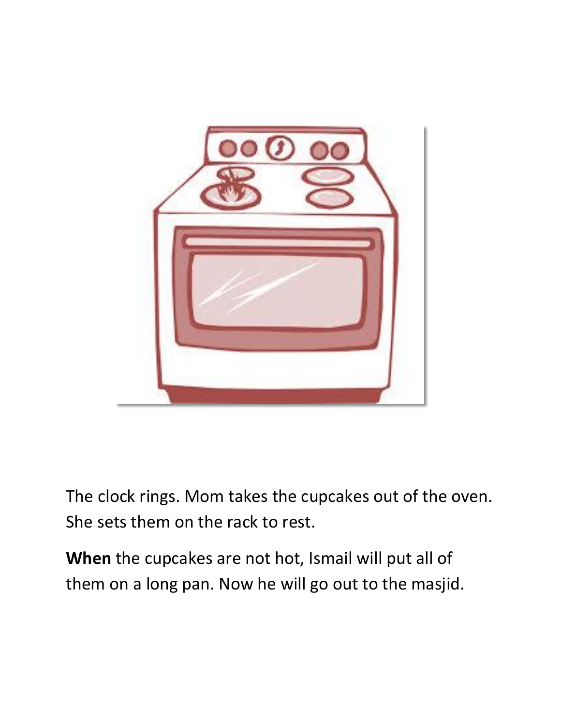

The clock rings. Mom takes the cupcakes out of the oven. She sets them on the rack to rest.

**When** the cupcakes are not hot, Ismail will put all of them on a long pan. Now he will go out to the masjid.